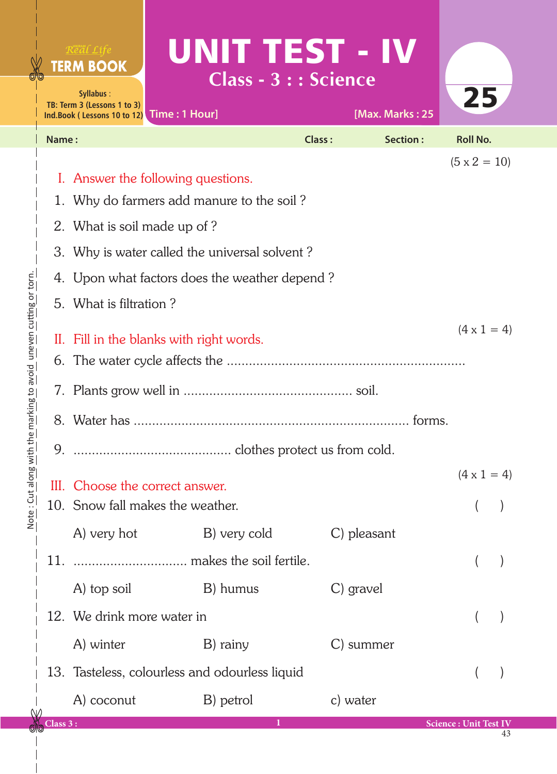|                                              |           | Real Life<br><b>TERM BOOK</b><br>Syllabus:<br>TB: Term 3 (Lessons 1 to 3)<br>Ind.Book (Lessons 10 to 12) Time: 1 Hour] | UNIT TEST - IV<br><b>Class - 3 : : Science</b> |               | [Max. Marks: 25 | 25                           |  |  |
|----------------------------------------------|-----------|------------------------------------------------------------------------------------------------------------------------|------------------------------------------------|---------------|-----------------|------------------------------|--|--|
|                                              | Name:     |                                                                                                                        |                                                | <b>Class:</b> | Section:        | <b>Roll No.</b>              |  |  |
|                                              |           |                                                                                                                        |                                                |               |                 | $(5 \times 2 = 10)$          |  |  |
|                                              |           |                                                                                                                        | I. Answer the following questions.             |               |                 |                              |  |  |
|                                              |           | Why do farmers add manure to the soil?                                                                                 |                                                |               |                 |                              |  |  |
|                                              |           | 2. What is soil made up of?                                                                                            |                                                |               |                 |                              |  |  |
|                                              |           | 3. Why is water called the universal solvent?                                                                          |                                                |               |                 |                              |  |  |
|                                              |           | 4. Upon what factors does the weather depend?                                                                          |                                                |               |                 |                              |  |  |
|                                              |           | 5. What is filtration?                                                                                                 |                                                |               |                 |                              |  |  |
|                                              |           | $(4 \times 1 = 4)$<br>II. Fill in the blanks with right words.                                                         |                                                |               |                 |                              |  |  |
|                                              | 6.        |                                                                                                                        |                                                |               |                 |                              |  |  |
| the marking to avoid uneven cutting or torn. |           |                                                                                                                        |                                                |               |                 |                              |  |  |
|                                              |           |                                                                                                                        |                                                |               |                 |                              |  |  |
|                                              | 9.        |                                                                                                                        |                                                |               |                 |                              |  |  |
| More : Chi suous wir                         |           |                                                                                                                        | III. Choose the correct answer.                |               |                 | $(4 \times 1 = 4)$           |  |  |
|                                              |           |                                                                                                                        | 10. Snow fall makes the weather.               |               |                 |                              |  |  |
|                                              |           | A) very hot                                                                                                            | B) very cold                                   | C) pleasant   |                 |                              |  |  |
|                                              | 11.       |                                                                                                                        |                                                |               |                 |                              |  |  |
|                                              |           | A) top soil                                                                                                            | B) humus                                       | C) gravel     |                 |                              |  |  |
|                                              |           | 12. We drink more water in                                                                                             |                                                |               |                 |                              |  |  |
|                                              |           | A) winter                                                                                                              | B) rainy                                       | C) summer     |                 |                              |  |  |
|                                              |           |                                                                                                                        | 13. Tasteless, colourless and odourless liquid |               |                 |                              |  |  |
|                                              |           | A) coconut                                                                                                             | B) petrol                                      | c) water      |                 |                              |  |  |
|                                              | Class 3 : |                                                                                                                        |                                                |               |                 | <b>Science: Unit Test IV</b> |  |  |

43